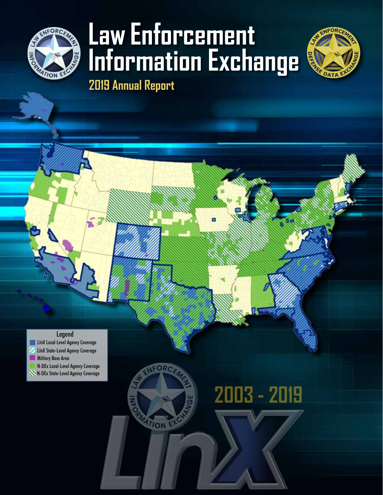

# **Law Enforcement Information Exchange 2019 Annual Report**

**2003 - 2019**

ATION EXC



Legend

**LInX Local-Level Agency Coverage** LInX State-Level Agency Coverage **Military Base Area** N-DEx Local-Level Agency Coverage

N-DEx State-Level Agency Coverage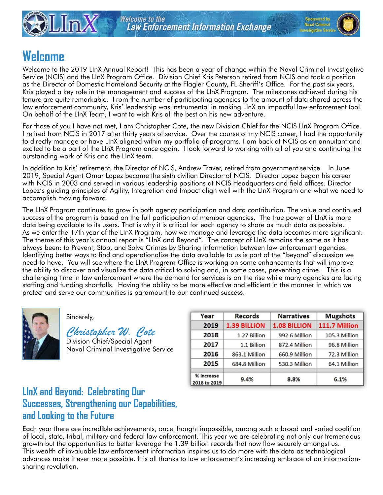



# **Welcome**

Welcome to the 2019 LInX Annual Report! This has been a year of change within the Naval Criminal Investigative Service (NCIS) and the LInX Program Office. Division Chief Kris Peterson retired from NCIS and took a position as the Director of Domestic Homeland Security at the Flagler County, FL Sheriff's Office. For the past six years, Kris played a key role in the management and success of the LInX Program. The milestones achieved during his tenure are quite remarkable. From the number of participating agencies to the amount of data shared across the law enforcement community, Kris' leadership was instrumental in making LInX an impactful law enforcement tool. On behalf of the LInX Team, I want to wish Kris all the best on his new adventure.

For those of you I have not met, I am Christopher Cote, the new Division Chief for the NCIS LInX Program Office. I retired from NCIS in 2017 after thirty years of service. Over the course of my NCIS career, I had the opportunity to directly manage or have LInX aligned within my portfolio of programs. I am back at NCIS as an annuitant and excited to be a part of the LInX Program once again. I look forward to working with all of you and continuing the outstanding work of Kris and the LInX team.

In addition to Kris' retirement, the Director of NCIS, Andrew Traver, retired from government service. In June 2019, Special Agent Omar Lopez became the sixth civilian Director of NCIS. Director Lopez began his career with NCIS in 2003 and served in various leadership positions at NCIS Headquarters and field offices. Director Lopez's guiding principles of Agility, Integration and Impact align well with the LInX Program and what we need to accomplish moving forward.

The LInX Program continues to grow in both agency participation and data contribution. The value and continued success of the program is based on the full participation of member agencies. The true power of LInX is more data being available to its users. That is why it is critical for each agency to share as much data as possible. As we enter the 17th year of the LInX Program, how we manage and leverage the data becomes more significant. The theme of this year's annual report is "LInX and Beyond". The concept of LInX remains the same as it has always been: to Prevent, Stop, and Solve Crimes by Sharing Information between law enforcement agencies. Identifying better ways to find and operationalize the data available to us is part of the "beyond" discussion we need to have. You will see where the LInX Program Office is working on some enhancements that will improve the ability to discover and visualize the data critical to solving and, in some cases, preventing crime. This is a challenging time in law enforcement where the demand for services is on the rise while many agencies are facing staffing and funding shortfalls. Having the ability to be more effective and efficient in the manner in which we protect and serve our communities is paramount to our continued success.



#### Sincerely,

 *Christopher W. Cote* Division Chief/Special Agent Naval Criminal Investigative Service

| Year                       | <b>Records</b>      | <b>Narratives</b>   | <b>Mugshots</b> |
|----------------------------|---------------------|---------------------|-----------------|
| 2019                       | <b>1.39 BILLION</b> | <b>1.08 BILLION</b> | 111.7 Million   |
| 2018                       | 1.27 Billion        | 992.6 Million       | 105.3 Million   |
| 2017                       | 1.1 Billion         | 872.4 Million       | 96.8 Million    |
| 2016                       | 863.1 Million       | 660.9 Million       | 72.3 Million    |
| 2015                       | 684.8 Million       | 530.3 Million       | 64.1 Million    |
| % Increase<br>2018 to 2019 | 9.4%                | 8.8%                | 6.1%            |

## **LInX and Beyond: Celebrating Our Successes, Strengthening our Capabilities, and Looking to the Future**

Each year there are incredible achievements, once thought impossible, among such a broad and varied coalition of local, state, tribal, military and federal law enforcement. This year we are celebrating not only our tremendous growth but the opportunities to better leverage the 1.39 billion records that now flow securely amongst us. This wealth of invaluable law enforcement information inspires us to do more with the data as technological advances make it ever more possible. It is all thanks to law enforcement's increasing embrace of an informationsharing revolution.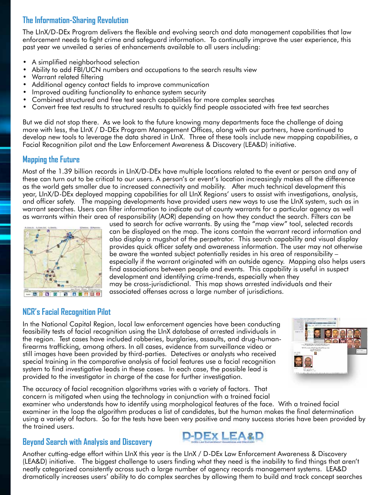#### **The Information-Sharing Revolution**

The LInX/D-DEx Program delivers the flexible and evolving search and data management capabilities that law enforcement needs to fight crime and safeguard information. To continually improve the user experience, this past year we unveiled a series of enhancements available to all users including:

- A simplified neighborhood selection
- Ability to add FBI/UCN numbers and occupations to the search results view
- Warrant related filtering
- Additional agency contact fields to improve communication
- Improved auditing functionality to enhance system security
- Combined structured and free text search capabilities for more complex searches
- Convert free text results to structured results to quickly find people associated with free text searches

But we did not stop there. As we look to the future knowing many departments face the challenge of doing more with less, the LInX / D-DEx Program Management Offices, along with our partners, have continued to develop new tools to leverage the data shared in LInX. Three of these tools include new mapping capabilities, a Facial Recognition pilot and the Law Enforcement Awareness & Discovery (LEA&D) initiative.

#### **Mapping the Future**

Most of the 1.39 billion records in LInX/D-DEx have multiple locations related to the event or person and any of these can turn out to be critical to our users. A person's or event's location increasingly makes all the difference as the world gets smaller due to increased connectivity and mobility. After much technical development this year, LInX/D-DEx deployed mapping capabilities for all LInX Regions' users to assist with investigations, analysis, and officer safety. The mapping developments have provided users new ways to use the LInX system, such as in warrant searches. Users can filter information to indicate out of county warrants for a particular agency as well as warrants within their area of responsibility (AOR) depending on how they conduct the search. Filters can be



used to search for active warrants. By using the "map view" tool, selected records can be displayed on the map. The icons contain the warrant record information and also display a mugshot of the perpetrator. This search capability and visual display provides quick officer safety and awareness information. The user may not otherwise be aware the wanted subject potentially resides in his area of responsibility – especially if the warrant originated with an outside agency. Mapping also helps users find associations between people and events. This capability is useful in suspect development and identifying crime-trends, especially when they may be cross-jurisdictional. This map shows arrested individuals and their associated offenses across a large number of jurisdictions.

#### **NCR's Facial Recognition Pilot**

In the National Capital Region, local law enforcement agencies have been conducting feasibility tests of facial recognition using the LInX database of arrested individuals in the region. Test cases have included robberies, burglaries, assaults, and drug-humanfirearms trafficking, among others. In all cases, evidence from surveillance video or still images have been provided by third-parties. Detectives or analysts who received special training in the comparative analysis of facial features use a facial recognition system to find investigative leads in these cases. In each case, the possible lead is provided to the investigator in charge of the case for further investigation.



The accuracy of facial recognition algorithms varies with a variety of factors. That concern is mitigated when using the technology in conjunction with a trained facial

examiner who understands how to identify using morphological features of the face. With a trained facial examiner in the loop the algorithm produces a list of candidates, but the human makes the final determination using a variety of factors. So far the tests have been very positive and many success stories have been provided by the trained users.

#### **Beyond Search with Analysis and Discovery**



Another cutting-edge effort within LInX this year is the LInX / D-DEx Law Enforcement Awareness & Discovery (LEA&D) initiative. The biggest challenge to users finding what they need is the inability to find things that aren't neatly categorized consistently across such a large number of agency records management systems. LEA&D dramatically increases users' ability to do complex searches by allowing them to build and track concept searches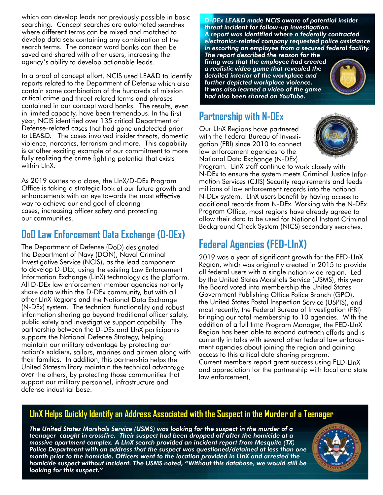which can develop leads not previously possible in basic searching. Concept searches are automated searches where different terms can be mixed and matched to develop data sets containing any combination of the search terms. The concept word banks can then be saved and shared with other users, increasing the agency's ability to develop actionable leads.

In a proof of concept effort, NCIS used LEA&D to identify reports related to the Department of Defense which also contain some combination of the hundreds of mission critical crime and threat related terms and phrases contained in our concept word banks. The results, even in limited capacity, have been tremendous. In the first year, NCIS identified over 135 critical Department of Defense-related cases that had gone undetected prior to LEA&D. The cases involved insider threats, domestic violence, narcotics, terrorism and more. This capability is another exciting example of our commitment to more fully realizing the crime fighting potential that exists within LInX.

As 2019 comes to a close, the LInX/D-DEx Program Office is taking a strategic look at our future growth and enhancements with an eye towards the most effective way to achieve our end goal of clearing cases, increasing officer safety and protecting our communities.

## **DoD Law Enforcement Data Exchange (D-DEx)**

The Department of Defense (DoD) designated the Department of Navy (DON), Naval Criminal Investigative Service (NCIS), as the lead component to develop D-DEx, using the existing Law Enforcement Information Exchange (LInX) technology as the platform. All D-DEx law enforcement member agencies not only share data within the D-DEx community, but with all other LInX Regions and the National Data Exchange (N-DEx) system. The technical functionality and robust information sharing go beyond traditional officer safety, public safety and investigative support capability. The partnership between the D-DEx and LInX participants supports the National Defense Strategy, helping maintain our military advantage by protecting our nation's soldiers, sailors, marines and airmen along with their families. In addition, this partnership helps the United Statesmilitary maintain the technical advantage over the others, by protecting those communities that support our military personnel, infrastructure and defense industrial base.

*D-DEx LEA&D made NCIS aware of potential insider threat incident for follow-up investigation. A report was identified where a federally contracted electronics-related company requested police assistance in escorting an employee from a secured federal facility. The report described the reason for the* 

*firing was that the employee had created a realistic video game that revealed the detailed interior of the workplace and further depicted workplace violence. It was also learned a video of the game had also been shared on YouTube.*



## **Partnership with N-DEx**

Our LInX Regions have partnered with the Federal Bureau of Investigation (FBI) since 2010 to connect law enforcement agencies to the National Data Exchange (N-DEx)



Program. LInX staff continue to work closely with N-DEx to ensure the system meets Criminal Justice Information Services (CJIS) Security requirements and feeds millions of law enforcement records into the national N-DEx system. LInX users benefit by having access to additional records from N-DEx. Working with the N-DEx Program Office, most regions have already agreed to allow their data to be used for National Instant Criminal Background Check System (NICS) secondary searches.

# **Federal Agencies (FED-LInX)**

2019 was a year of significant growth for the FED-LInX Region, which was originally created in 2015 to provide all federal users with a single nation-wide region. Led by the United States Marshals Service (USMS), this year the Board voted into membership the United States Government Publishing Office Police Branch (GPO), the United States Postal Inspection Service (USPIS), and most recently, the Federal Bureau of Investigation (FBI) bringing our total membership to 10 agencies. With the addition of a full time Program Manager, the FED-LInX Region has been able to expand outreach efforts and is currently in talks with several other federal law enforcement agencies about joining the region and gaining access to this critical data sharing program. Current members report great success using FED-LInX and appreciation for the partnership with local and state law enforcement.

#### **LInX Helps Quickly Identify an Address Associated with the Suspect in the Murder of a Teenager**

*The United States Marshals Service (USMS) was looking for the suspect in the murder of a teenager caught in crossfire. Their suspect had been dropped off after the homicide at a massive apartment complex. A LInX search provided an incident report from Mesquite (TX) Police Department with an address that the suspect was questioned/detained at less than one month prior to the homicide. Officers went to the location provided in LInX and arrested the homicide suspect without incident. The USMS noted, "Without this database, we would still be looking for this suspect."*

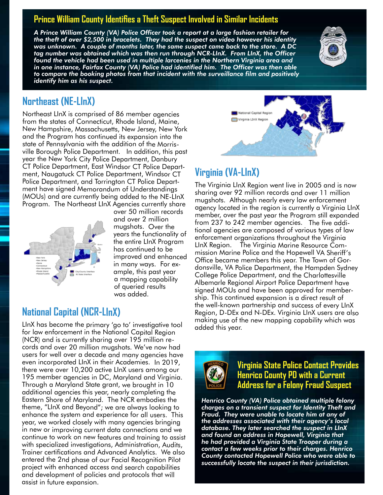#### **Prince William County Identifies a Theft Suspect Involved in Similar Incidents**

*A Prince William County (VA) Police Officer took a report at a large fashion retailer for the theft of over \$2,500 in bracelets. They had the suspect on video however his identity was unknown. A couple of months later, the same suspect came back to the store. A DC tag number was obtained which was then run through NCR-LInX. From LInX, the Officer found the vehicle had been used in multiple larcenies in the Northern Virginia area and in one instance, Fairfax County (VA) Police had identified him. The Officer was then able to compare the booking photos from that incident with the surveillance film and positively identify him as his suspect.* 



#### **Northeast (NE-LInX)**

Northeast LInX is comprised of 86 member agencies from the states of Connecticut, Rhode Island, Maine, New Hampshire, Massachusetts, New Jersey, New York and the Program has continued its expansion into the state of Pennsylvania with the addition of the Morrisville Borough Police Department. In addition, this past year the New York City Police Department, Danbury CT Police Department, East Windsor CT Police Department, Naugatuck CT Police Department, Windsor CT Police Department, and Torrington CT Police Department have signed Memorandum of Understandings (MOUs) and are currently being added to the NE-LInX Program. The Northeast LInX Agencies currently share



over 50 million records and over 2 million mugshots. Over the years the functionality of the entire LInX Program has continued to be improved and enhanced in many ways. For example, this past year a mapping capability of queried results was added.

### **National Capital (NCR-LInX)**

LInX has become the primary 'go to' investigative tool for law enforcement in the National Capital Region (NCR) and is currently sharing over 195 million records and over 20 million mugshots. We've now had users for well over a decade and many agencies have even incorporated LInX in their Academies. In 2019, there were over 10,200 active LInX users among our 195 member agencies in DC, Maryland and Virginia. Through a Maryland State grant, we brought in 10 additional agencies this year, nearly completing the Eastern Shore of Maryland. The NCR embodies the theme, "LInX and Beyond"; we are always looking to enhance the system and experience for all users. This year, we worked closely with many agencies bringing in new or improving current data connections and we continue to work on new features and training to assist with specialized investigations, Administration, Audits, Trainer certifications and Advanced Analytics. We also entered the 2nd phase of our Facial Recognition Pilot project with enhanced access and search capabilities and development of policies and protocols that will assist in future expansion.



## **Virginia (VA-LInX)**

The Virginia LInX Region went live in 2005 and is now sharing over 92 million records and over 11 million mugshots. Although nearly every law enforcement agency located in the region is currently a Virginia LInX member, over the past year the Program still expanded from 237 to 242 member agencies. The five additional agencies are composed of various types of law enforcement organizations throughout the Virginia LInX Region. The Virginia Marine Resource Commission Marine Police and the Hopewell VA Sheriff's Office became members this year. The Town of Gordonsville, VA Police Department, the Hampden Sydney College Police Department, and the Charlottesville Albemarle Regional Airport Police Department have signed MOUs and have been approved for membership. This continued expansion is a direct result of the well-known partnership and success of every LInX Region, D-DEx and N-DEx. Virginia LInX users are also making use of the new mapping capability which was added this year.



**Virginia State Police Contact Provides Henrico County PD with a Current Address for a Felony Fraud Suspect**

*Henrico County (VA) Police obtained multiple felony charges on a transient suspect for Identity Theft and Fraud. They were unable to locate him at any of the addresses associated with their agency's local database. They later searched the suspect in LInX and found an address in Hopewell, Virginia that he had provided a Virginia State Trooper during a contact a few weeks prior to their charges. Henrico County contacted Hopewell Police who were able to successfully locate the suspect in their jurisdiction.*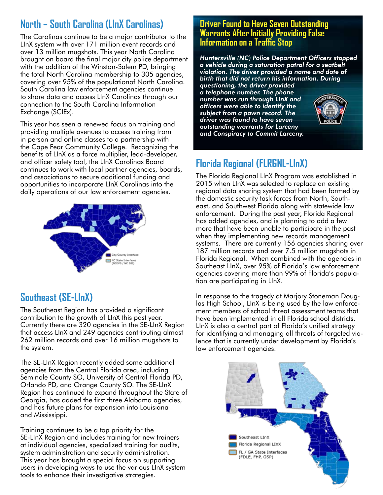# **North – South Carolina (LInX Carolinas)**

The Carolinas continue to be a major contributor to the LInX system with over 171 million event records and over 13 million mugshots. This year North Carolina brought on board the final major city police department with the addition of the Winston-Salem PD, bringing the total North Carolina membership to 305 agencies, covering over 95% of the populationof North Carolina. South Carolina law enforcement agencies continue to share data and access LInX Carolinas through our connection to the South Carolina Information Exchange (SCIEx).

This year has seen a renewed focus on training and providing multiple avenues to access training from in person and online classes to a partnership with the Cape Fear Community College. Recognizing the benefits of LInX as a force multiplier, lead-developer, and officer safety tool, the LInX Carolinas Board continues to work with local partner agencies, boards, and associations to secure additional funding and opportunities to incorporate LInX Carolinas into the daily operations of our law enforcement agencies.



## **Southeast (SE-LInX)**

The Southeast Region has provided a significant contribution to the growth of LInX this past year. Currently there are 320 agencies in the SE-LInX Region that access LInX and 249 agencies contributing almost 262 million records and over 16 million mugshots to the system.

The SE-LInX Region recently added some additional agencies from the Central Florida area, including Seminole County SO, University of Central Florida PD, Orlando PD, and Orange County SO. The SE-LInX Region has continued to expand throughout the State of Georgia, has added the first three Alabama agencies, and has future plans for expansion into Louisiana and Mississippi.

Training continues to be a top priority for the SE-LInX Region and includes training for new trainers at individual agencies, specialized training for audits, system administration and security administration. This year has brought a special focus on supporting users in developing ways to use the various LInX system tools to enhance their investigative strategies.

#### **Driver Found to Have Seven Outstanding Warrants After Initially Providing False Information on a Traffic Stop**

*Huntersville (NC) Police Department Officers stopped a vehicle during a saturation patrol for a seatbelt violation. The driver provided a name and date of birth that did not return his information. During questioning, the driver provided a telephone number. The phone number was run through LInX and officers were able to identify the subject from a pawn record. The driver was found to have seven outstanding warrants for Larceny and Conspiracy to Commit Larceny.*

# **Florida Regional (FLRGNL-LInX)**

The Florida Regional LInX Program was established in 2015 when LInX was selected to replace an existing regional data sharing system that had been formed by the domestic security task forces from North, Southeast, and Southwest Florida along with statewide law enforcement. During the past year, Florida Regional has added agencies, and is planning to add a few more that have been unable to participate in the past when they implementing new records management systems. There are currently 156 agencies sharing over 187 million records and over 7.5 million mugshots in Florida Regional. When combined with the agencies in Southeast LInX, over 95% of Florida's law enforcement agencies covering more than 99% of Florida's population are participating in LInX.

In response to the tragedy at Marjory Stoneman Douglas High School, LInX is being used by the law enforcement members of school threat assessment teams that have been implemented in all Florida school districts. LInX is also a central part of Florida's unified strategy for identifying and managing all threats of targeted violence that is currently under development by Florida's law enforcement agencies.

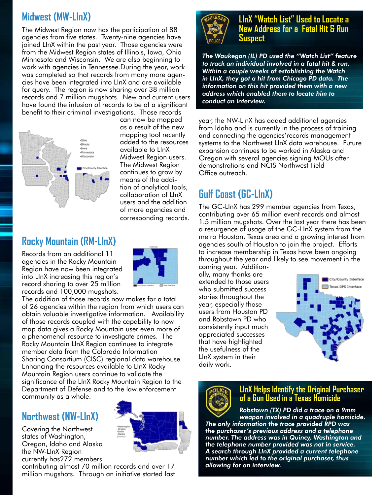# **Midwest (MW-LInX)**

The Midwest Region now has the participation of 88 agencies from five states. Twenty-nine agencies have joined LInX within the past year. Those agencies were from the Midwest Region states of Illinois, Iowa, Ohio Minnesota and Wisconsin. We are also beginning to work with agencies in Tennessee.During the year, work was completed so that records from many more agencies have been integrated into LInX and are available for query. The region is now sharing over 38 million records and 7 million mugshots. New and current users have found the infusion of records to be of a significant benefit to their criminal investigations. Those records



can now be mapped as a result of the new mapping tool recently added to the resources available to LInX Midwest Region users. The Midwest Region continues to grow by means of the addition of analytical tools, collaboration of LInX users and the addition of more agencies and corresponding records.

## **Rocky Mountain (RM-LInX)**

Records from an additional 11 agencies in the Rocky Mountain Region have now been integrated into LInX increasing this region's record sharing to over 25 million records and 100,000 mugshots.



The addition of those records now makes for a total of 26 agencies within the region from which users can obtain valuable investigative information. Availability of those records coupled with the capability to now map data gives a Rocky Mountain user even more of a phenomenal resource to investigate crimes. The Rocky Mountain LInX Region continues to integrate member data from the Colorado Information Sharing Consortium (CISC) regional data warehouse. Enhancing the resources available to LInX Rocky Mountain Region users continue to validate the significance of the LInX Rocky Mountain Region to the Department of Defense and to the law enforcement community as a whole.

## **Northwest (NW-LInX)**

Covering the Northwest states of Washington, Oregon, Idaho and Alaska the NW-LInX Region currently has272 members



contributing almost 70 million records and over 17 million mugshots. Through an initiative started last



#### **LInX "Watch List" Used to Locate a New Address for a Fatal Hit & Run Suspect**

*The Waukegan (IL) PD used the "Watch List" feature to track an individual involved in a fatal hit & run. Within a couple weeks of establishing the Watch in LInX, they got a hit from Chicago PD data. The information on this hit provided them with a new address which enabled them to locate him to conduct an interview.* 

year, the NW-LInX has added additional agencies from Idaho and is currently in the process of training and connecting the agencies'records management systems to the Northwest LInX data warehouse. Future expansion continues to be worked in Alaska and Oregon with several agencies signing MOUs after demonstrations and NCIS Northwest Field Office outreach.

# **Gulf Coast (GC-LInX)**

The GC-LInX has 299 member agencies from Texas, contributing over 65 million event records and almost 1.5 million mugshots. Over the last year there has been a resurgence of usage of the GC-LInX system from the metro Houston, Texas area and a growing interest from agencies south of Houston to join the project. Efforts to increase membership in Texas have been ongoing throughout the year and likely to see movement in the

coming year. Additionally, many thanks are extended to those users who submitted success stories throughout the year, especially those users from Houston PD and Robstown PD who consistently input much appreciated successes that have highlighted the usefulness of the LInX system in their daily work.





#### **LInX Helps Identify the Original Purchaser of a Gun Used in a Texas Homicide**

*Robstown (TX) PD did a trace on a 9mm weapon involved in a quadruple homicide. The only information the trace provided RPD was the purchaser's previous address and a telephone number. The address was in Quincy, Washington and the telephone number provided was not in service. A search through LInX provided a current telephone number which led to the original purchaser, thus allowing for an interview.*